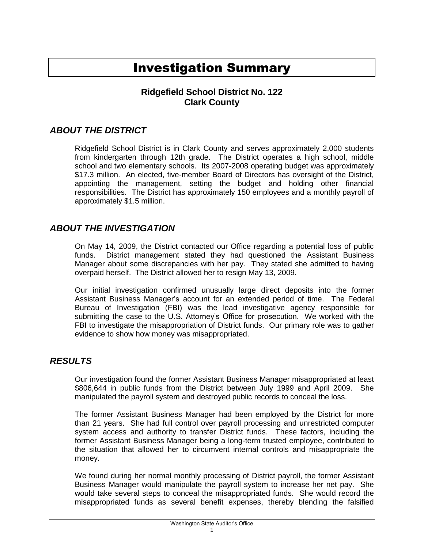# Investigation Summary

## **Ridgefield School District No. 122 Clark County**

### *ABOUT THE DISTRICT*

Ridgefield School District is in Clark County and serves approximately 2,000 students from kindergarten through 12th grade. The District operates a high school, middle school and two elementary schools. Its 2007-2008 operating budget was approximately \$17.3 million. An elected, five-member Board of Directors has oversight of the District, appointing the management, setting the budget and holding other financial responsibilities. The District has approximately 150 employees and a monthly payroll of approximately \$1.5 million.

#### *ABOUT THE INVESTIGATION*

On May 14, 2009, the District contacted our Office regarding a potential loss of public funds. District management stated they had questioned the Assistant Business Manager about some discrepancies with her pay. They stated she admitted to having overpaid herself. The District allowed her to resign May 13, 2009.

Our initial investigation confirmed unusually large direct deposits into the former Assistant Business Manager's account for an extended period of time. The Federal Bureau of Investigation (FBI) was the lead investigative agency responsible for submitting the case to the U.S. Attorney's Office for prosecution. We worked with the FBI to investigate the misappropriation of District funds. Our primary role was to gather evidence to show how money was misappropriated.

#### *RESULTS*

Our investigation found the former Assistant Business Manager misappropriated at least \$806,644 in public funds from the District between July 1999 and April 2009. She manipulated the payroll system and destroyed public records to conceal the loss.

The former Assistant Business Manager had been employed by the District for more than 21 years. She had full control over payroll processing and unrestricted computer system access and authority to transfer District funds. These factors, including the former Assistant Business Manager being a long-term trusted employee, contributed to the situation that allowed her to circumvent internal controls and misappropriate the money.

We found during her normal monthly processing of District payroll, the former Assistant Business Manager would manipulate the payroll system to increase her net pay. She would take several steps to conceal the misappropriated funds. She would record the misappropriated funds as several benefit expenses, thereby blending the falsified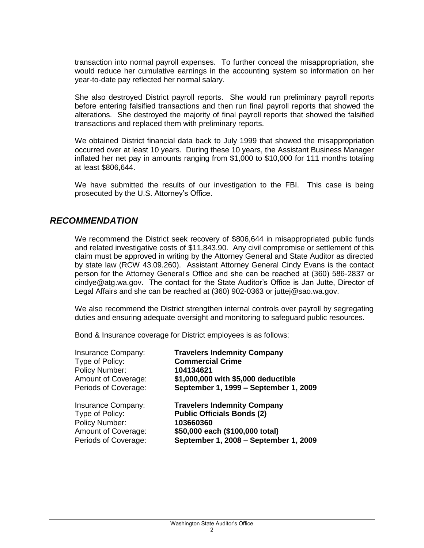transaction into normal payroll expenses. To further conceal the misappropriation, she would reduce her cumulative earnings in the accounting system so information on her year-to-date pay reflected her normal salary.

She also destroyed District payroll reports. She would run preliminary payroll reports before entering falsified transactions and then run final payroll reports that showed the alterations. She destroyed the majority of final payroll reports that showed the falsified transactions and replaced them with preliminary reports.

We obtained District financial data back to July 1999 that showed the misappropriation occurred over at least 10 years. During these 10 years, the Assistant Business Manager inflated her net pay in amounts ranging from \$1,000 to \$10,000 for 111 months totaling at least \$806,644.

We have submitted the results of our investigation to the FBI. This case is being prosecuted by the U.S. Attorney's Office.

#### *RECOMMENDATION*

We recommend the District seek recovery of \$806,644 in misappropriated public funds and related investigative costs of \$11,843.90. Any civil compromise or settlement of this claim must be approved in writing by the Attorney General and State Auditor as directed by state law (RCW 43.09.260). Assistant Attorney General Cindy Evans is the contact person for the Attorney General's Office and she can be reached at (360) 586-2837 or cindye@atg.wa.gov. The contact for the State Auditor's Office is Jan Jutte, Director of Legal Affairs and she can be reached at (360) 902-0363 or juttej@sao.wa.gov.

We also recommend the District strengthen internal controls over payroll by segregating duties and ensuring adequate oversight and monitoring to safeguard public resources.

Bond & Insurance coverage for District employees is as follows:

| Insurance Company:                | <b>Travelers Indemnity Company</b>    |
|-----------------------------------|---------------------------------------|
| Type of Policy:<br>Policy Number: | <b>Commercial Crime</b><br>104134621  |
| Amount of Coverage:               | \$1,000,000 with \$5,000 deductible   |
| Periods of Coverage:              | September 1, 1999 - September 1, 2009 |
| Insurance Company:                | <b>Travelers Indemnity Company</b>    |
| Type of Policy:                   | <b>Public Officials Bonds (2)</b>     |
| Policy Number:                    | 103660360                             |
| Amount of Coverage:               | \$50,000 each (\$100,000 total)       |
| Periods of Coverage:              | September 1, 2008 - September 1, 2009 |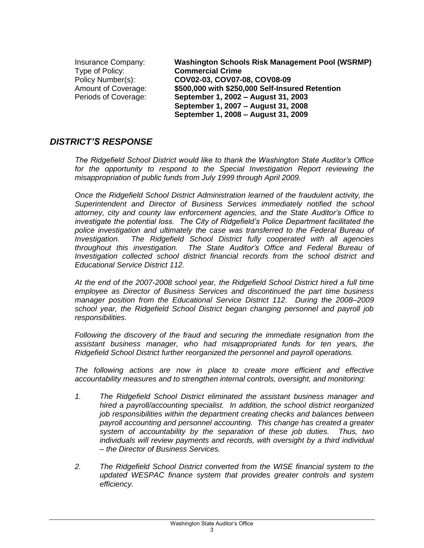| <b>Insurance Company:</b> | Washington Schools Risk Management Pool (WSRMP) |
|---------------------------|-------------------------------------------------|
| Type of Policy:           | <b>Commercial Crime</b>                         |
| Policy Number(s):         | COV02-03, COV07-08, COV08-09                    |
| Amount of Coverage:       | \$500,000 with \$250,000 Self-Insured Retention |
| Periods of Coverage:      | September 1, 2002 – August 31, 2003             |
|                           | September 1, 2007 - August 31, 2008             |
|                           | September 1, 2008 - August 31, 2009             |

#### *DISTRICT'S RESPONSE*

*The Ridgefield School District would like to thank the Washington State Auditor's Office*  for the opportunity to respond to the Special Investigation Report reviewing the *misappropriation of public funds from July 1999 through April 2009.*

*Once the Ridgefield School District Administration learned of the fraudulent activity, the Superintendent and Director of Business Services immediately notified the school attorney, city and county law enforcement agencies, and the State Auditor's Office to investigate the potential loss. The City of Ridgefield's Police Department facilitated the police investigation and ultimately the case was transferred to the Federal Bureau of Investigation. The Ridgefield School District fully cooperated with all agencies throughout this investigation. The State Auditor's Office and Federal Bureau of Investigation collected school district financial records from the school district and Educational Service District 112.*

*At the end of the 2007-2008 school year, the Ridgefield School District hired a full time employee as Director of Business Services and discontinued the part time business manager position from the Educational Service District 112. During the 2008–2009 school year, the Ridgefield School District began changing personnel and payroll job responsibilities.* 

*Following the discovery of the fraud and securing the immediate resignation from the assistant business manager, who had misappropriated funds for ten years, the Ridgefield School District further reorganized the personnel and payroll operations.* 

*The following actions are now in place to create more efficient and effective accountability measures and to strengthen internal controls, oversight, and monitoring:*

- *1. The Ridgefield School District eliminated the assistant business manager and hired a payroll/accounting specialist. In addition, the school district reorganized job responsibilities within the department creating checks and balances between payroll accounting and personnel accounting. This change has created a greater system of accountability by the separation of these job duties. Thus, two individuals will review payments and records, with oversight by a third individual – the Director of Business Services.*
- *2. The Ridgefield School District converted from the WISE financial system to the updated WESPAC finance system that provides greater controls and system efficiency.*